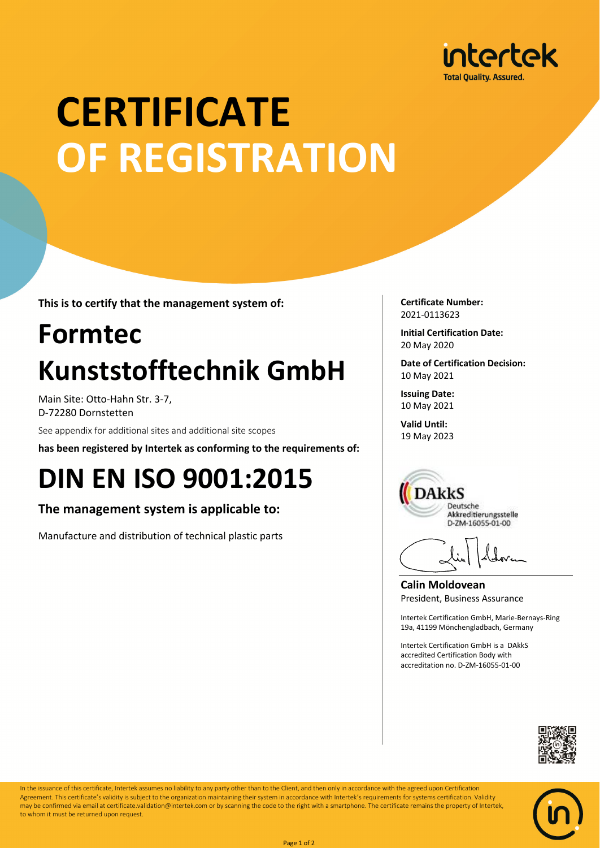

# **CERTIFICATE OF REGISTRATION**

**This is to certify that the management system of:**

## **Formtec Kunststofftechnik GmbH**

Main Site: Otto-Hahn Str. 3-7, D-72280 Dornstetten

See appendix for additional sites and additional site scopes

**has been registered by Intertek as conforming to the requirements of:**

### **DIN EN ISO 9001:2015**

**The management system is applicable to:**

Manufacture and distribution of technical plastic parts

**Certificate Number:** 2021-0113623

**Initial Certification Date:** 20 May 2020

**Date of Certification Decision:** 10 May 2021

**Issuing Date:** 10 May 2021

**Valid Until:** 19 May 2023



**Calin Moldovean** President, Business Assurance

Intertek Certification GmbH, Marie-Bernays-Ring 19a, 41199 Mönchengladbach, Germany

Intertek Certification GmbH is a DAkkS accredited Certification Body with accreditation no. D-ZM-16055-01-00





In the issuance of this certificate, Intertek assumes no liability to any party other than to the Client, and then only in accordance with the agreed upon Certification Agreement. This certificate's validity is subject to the organization maintaining their system in accordance with Intertek's requirements for systems certification. Validity may be confirmed via email at certificate.validation@intertek.com or by scanning the code to the right with a smartphone. The certificate remains the property of Intertek, to whom it must be returned upon request.